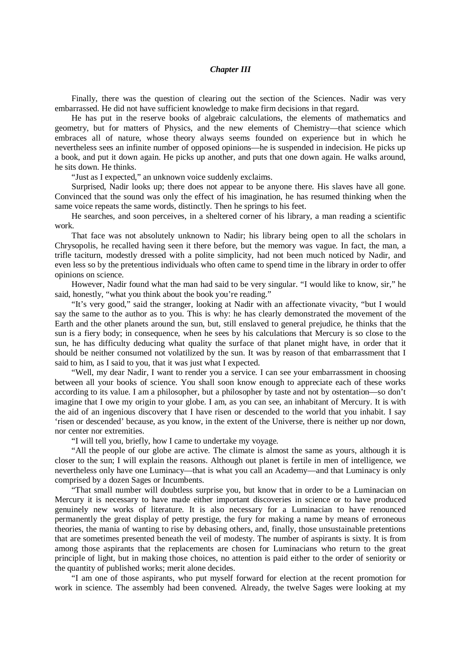## *Chapter III*

Finally, there was the question of clearing out the section of the Sciences. Nadir was very embarrassed. He did not have sufficient knowledge to make firm decisions in that regard.

He has put in the reserve books of algebraic calculations, the elements of mathematics and geometry, but for matters of Physics, and the new elements of Chemistry—that science which embraces all of nature, whose theory always seems founded on experience but in which he nevertheless sees an infinite number of opposed opinions—he is suspended in indecision. He picks up a book, and put it down again. He picks up another, and puts that one down again. He walks around, he sits down. He thinks.

"Just as I expected," an unknown voice suddenly exclaims.

Surprised, Nadir looks up; there does not appear to be anyone there. His slaves have all gone. Convinced that the sound was only the effect of his imagination, he has resumed thinking when the same voice repeats the same words, distinctly. Then he springs to his feet.

He searches, and soon perceives, in a sheltered corner of his library, a man reading a scientific work.

That face was not absolutely unknown to Nadir; his library being open to all the scholars in Chrysopolis, he recalled having seen it there before, but the memory was vague. In fact, the man, a trifle taciturn, modestly dressed with a polite simplicity, had not been much noticed by Nadir, and even less so by the pretentious individuals who often came to spend time in the library in order to offer opinions on science.

However, Nadir found what the man had said to be very singular. "I would like to know, sir," he said, honestly, "what you think about the book you're reading."

"It's very good," said the stranger, looking at Nadir with an affectionate vivacity, "but I would say the same to the author as to you. This is why: he has clearly demonstrated the movement of the Earth and the other planets around the sun, but, still enslaved to general prejudice, he thinks that the sun is a fiery body; in consequence, when he sees by his calculations that Mercury is so close to the sun, he has difficulty deducing what quality the surface of that planet might have, in order that it should be neither consumed not volatilized by the sun. It was by reason of that embarrassment that I said to him, as I said to you, that it was just what I expected.

"Well, my dear Nadir, I want to render you a service. I can see your embarrassment in choosing between all your books of science. You shall soon know enough to appreciate each of these works according to its value. I am a philosopher, but a philosopher by taste and not by ostentation—so don't imagine that I owe my origin to your globe. I am, as you can see, an inhabitant of Mercury. It is with the aid of an ingenious discovery that I have risen or descended to the world that you inhabit. I say 'risen or descended' because, as you know, in the extent of the Universe, there is neither up nor down, nor center nor extremities.

"I will tell you, briefly, how I came to undertake my voyage.

"All the people of our globe are active. The climate is almost the same as yours, although it is closer to the sun; I will explain the reasons. Although out planet is fertile in men of intelligence, we nevertheless only have one Luminacy—that is what you call an Academy—and that Luminacy is only comprised by a dozen Sages or Incumbents.

"That small number will doubtless surprise you, but know that in order to be a Luminacian on Mercury it is necessary to have made either important discoveries in science or to have produced genuinely new works of literature. It is also necessary for a Luminacian to have renounced permanently the great display of petty prestige, the fury for making a name by means of erroneous theories, the mania of wanting to rise by debasing others, and, finally, those unsustainable pretentions that are sometimes presented beneath the veil of modesty. The number of aspirants is sixty. It is from among those aspirants that the replacements are chosen for Luminacians who return to the great principle of light, but in making those choices, no attention is paid either to the order of seniority or the quantity of published works; merit alone decides.

"I am one of those aspirants, who put myself forward for election at the recent promotion for work in science. The assembly had been convened. Already, the twelve Sages were looking at my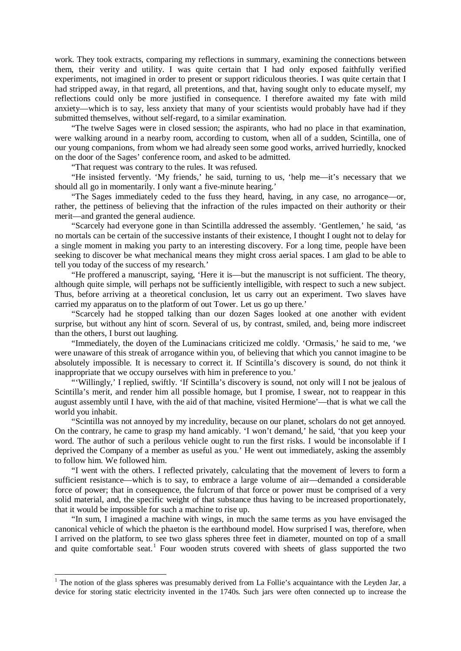work. They took extracts, comparing my reflections in summary, examining the connections between them, their verity and utility. I was quite certain that I had only exposed faithfully verified experiments, not imagined in order to present or support ridiculous theories. I was quite certain that I had stripped away, in that regard, all pretentions, and that, having sought only to educate myself, my reflections could only be more justified in consequence. I therefore awaited my fate with mild anxiety—which is to say, less anxiety that many of your scientists would probably have had if they submitted themselves, without self-regard, to a similar examination.

"The twelve Sages were in closed session; the aspirants, who had no place in that examination, were walking around in a nearby room, according to custom, when all of a sudden, Scintilla, one of our young companions, from whom we had already seen some good works, arrived hurriedly, knocked on the door of the Sages' conference room, and asked to be admitted.

"That request was contrary to the rules. It was refused.

"He insisted fervently. 'My friends,' he said, turning to us, 'help me—it's necessary that we should all go in momentarily. I only want a five-minute hearing.'

"The Sages immediately ceded to the fuss they heard, having, in any case, no arrogance—or, rather, the pettiness of believing that the infraction of the rules impacted on their authority or their merit—and granted the general audience.

"Scarcely had everyone gone in than Scintilla addressed the assembly. 'Gentlemen,' he said, 'as no mortals can be certain of the successive instants of their existence, I thought I ought not to delay for a single moment in making you party to an interesting discovery. For a long time, people have been seeking to discover be what mechanical means they might cross aerial spaces. I am glad to be able to tell you today of the success of my research.'

"He proffered a manuscript, saying, 'Here it is—but the manuscript is not sufficient. The theory, although quite simple, will perhaps not be sufficiently intelligible, with respect to such a new subject. Thus, before arriving at a theoretical conclusion, let us carry out an experiment. Two slaves have carried my apparatus on to the platform of out Tower. Let us go up there.'

"Scarcely had he stopped talking than our dozen Sages looked at one another with evident surprise, but without any hint of scorn. Several of us, by contrast, smiled, and, being more indiscreet than the others, I burst out laughing.

"Immediately, the doyen of the Luminacians criticized me coldly. 'Ormasis,' he said to me, 'we were unaware of this streak of arrogance within you, of believing that which you cannot imagine to be absolutely impossible. It is necessary to correct it. If Scintilla's discovery is sound, do not think it inappropriate that we occupy ourselves with him in preference to you.'

"'Willingly,' I replied, swiftly. 'If Scintilla's discovery is sound, not only will I not be jealous of Scintilla's merit, and render him all possible homage, but I promise, I swear, not to reappear in this august assembly until I have, with the aid of that machine, visited Hermione'—that is what we call the world you inhabit.

"Scintilla was not annoyed by my incredulity, because on our planet, scholars do not get annoyed. On the contrary, he came to grasp my hand amicably. 'I won't demand,' he said, 'that you keep your word. The author of such a perilous vehicle ought to run the first risks. I would be inconsolable if I deprived the Company of a member as useful as you.' He went out immediately, asking the assembly to follow him. We followed him.

"I went with the others. I reflected privately, calculating that the movement of levers to form a sufficient resistance—which is to say, to embrace a large volume of air—demanded a considerable force of power; that in consequence, the fulcrum of that force or power must be comprised of a very solid material, and, the specific weight of that substance thus having to be increased proportionately, that it would be impossible for such a machine to rise up.

"In sum, I imagined a machine with wings, in much the same terms as you have envisaged the canonical vehicle of which the phaeton is the earthbound model. How surprised I was, therefore, when I arrived on the platform, to see two glass spheres three feet in diameter, mounted on top of a small and quite comfortable seat.<sup>[1](#page-1-0)</sup> Four wooden struts covered with sheets of glass supported the two

<span id="page-1-0"></span><sup>&</sup>lt;sup>1</sup> The notion of the glass spheres was presumably derived from La Follie's acquaintance with the Leyden Jar, a device for storing static electricity invented in the 1740s. Such jars were often connected up to increase the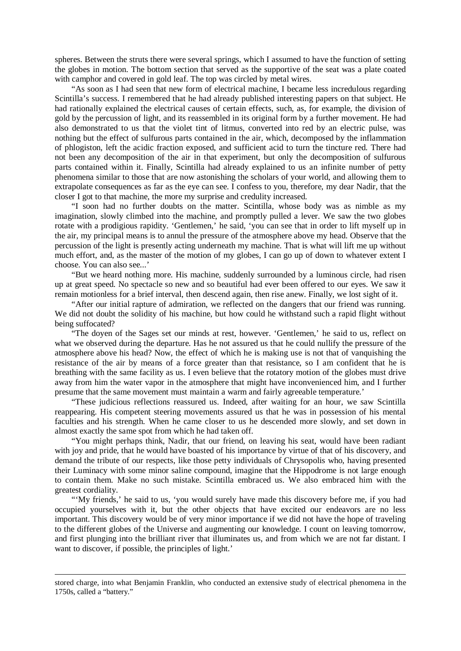spheres. Between the struts there were several springs, which I assumed to have the function of setting the globes in motion. The bottom section that served as the supportive of the seat was a plate coated with camphor and covered in gold leaf. The top was circled by metal wires.

"As soon as I had seen that new form of electrical machine, I became less incredulous regarding Scintilla's success. I remembered that he had already published interesting papers on that subject. He had rationally explained the electrical causes of certain effects, such, as, for example, the division of gold by the percussion of light, and its reassembled in its original form by a further movement. He had also demonstrated to us that the violet tint of litmus, converted into red by an electric pulse, was nothing but the effect of sulfurous parts contained in the air, which, decomposed by the inflammation of phlogiston, left the acidic fraction exposed, and sufficient acid to turn the tincture red. There had not been any decomposition of the air in that experiment, but only the decomposition of sulfurous parts contained within it. Finally, Scintilla had already explained to us an infinite number of petty phenomena similar to those that are now astonishing the scholars of your world, and allowing them to extrapolate consequences as far as the eye can see. I confess to you, therefore, my dear Nadir, that the closer I got to that machine, the more my surprise and credulity increased.

"I soon had no further doubts on the matter. Scintilla, whose body was as nimble as my imagination, slowly climbed into the machine, and promptly pulled a lever. We saw the two globes rotate with a prodigious rapidity. 'Gentlemen,' he said, 'you can see that in order to lift myself up in the air, my principal means is to annul the pressure of the atmosphere above my head. Observe that the percussion of the light is presently acting underneath my machine. That is what will lift me up without much effort, and, as the master of the motion of my globes, I can go up of down to whatever extent I choose. You can also see...'

"But we heard nothing more. His machine, suddenly surrounded by a luminous circle, had risen up at great speed. No spectacle so new and so beautiful had ever been offered to our eyes. We saw it remain motionless for a brief interval, then descend again, then rise anew. Finally, we lost sight of it.

"After our initial rapture of admiration, we reflected on the dangers that our friend was running. We did not doubt the solidity of his machine, but how could he withstand such a rapid flight without being suffocated?

"The doyen of the Sages set our minds at rest, however. 'Gentlemen,' he said to us, reflect on what we observed during the departure. Has he not assured us that he could nullify the pressure of the atmosphere above his head? Now, the effect of which he is making use is not that of vanquishing the resistance of the air by means of a force greater than that resistance, so I am confident that he is breathing with the same facility as us. I even believe that the rotatory motion of the globes must drive away from him the water vapor in the atmosphere that might have inconvenienced him, and I further presume that the same movement must maintain a warm and fairly agreeable temperature.'

"These judicious reflections reassured us. Indeed, after waiting for an hour, we saw Scintilla reappearing. His competent steering movements assured us that he was in possession of his mental faculties and his strength. When he came closer to us he descended more slowly, and set down in almost exactly the same spot from which he had taken off.

"You might perhaps think, Nadir, that our friend, on leaving his seat, would have been radiant with joy and pride, that he would have boasted of his importance by virtue of that of his discovery, and demand the tribute of our respects, like those petty individuals of Chrysopolis who, having presented their Luminacy with some minor saline compound, imagine that the Hippodrome is not large enough to contain them. Make no such mistake. Scintilla embraced us. We also embraced him with the greatest cordiality.

"'My friends,' he said to us, 'you would surely have made this discovery before me, if you had occupied yourselves with it, but the other objects that have excited our endeavors are no less important. This discovery would be of very minor importance if we did not have the hope of traveling to the different globes of the Universe and augmenting our knowledge. I count on leaving tomorrow, and first plunging into the brilliant river that illuminates us, and from which we are not far distant. I want to discover, if possible, the principles of light.'

-

stored charge, into what Benjamin Franklin, who conducted an extensive study of electrical phenomena in the 1750s, called a "battery."